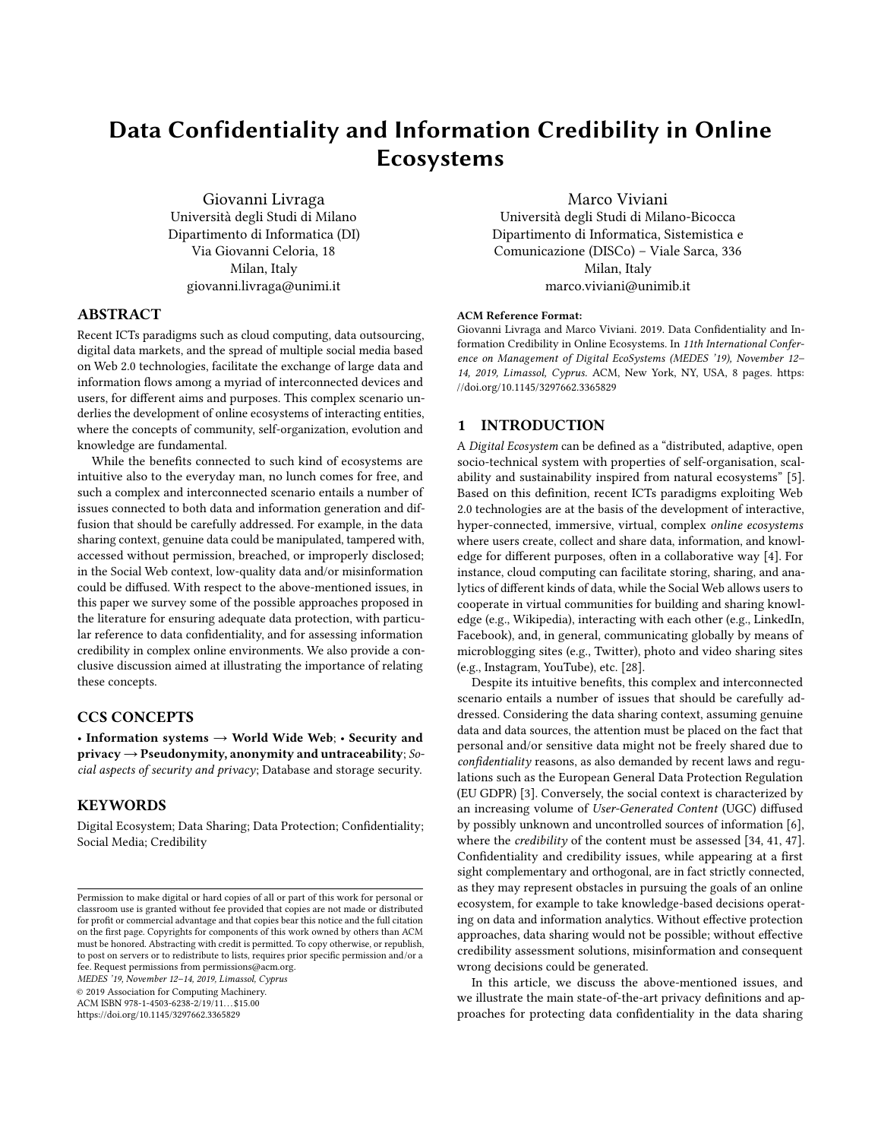# Data Confidentiality and Information Credibility in Online Ecosystems

Giovanni Livraga Università degli Studi di Milano Dipartimento di Informatica (DI) Via Giovanni Celoria, 18 Milan, Italy giovanni.livraga@unimi.it

## ABSTRACT

Recent ICTs paradigms such as cloud computing, data outsourcing, digital data markets, and the spread of multiple social media based on Web 2.0 technologies, facilitate the exchange of large data and information flows among a myriad of interconnected devices and users, for different aims and purposes. This complex scenario underlies the development of online ecosystems of interacting entities, where the concepts of community, self-organization, evolution and knowledge are fundamental.

While the benefits connected to such kind of ecosystems are intuitive also to the everyday man, no lunch comes for free, and such a complex and interconnected scenario entails a number of issues connected to both data and information generation and diffusion that should be carefully addressed. For example, in the data sharing context, genuine data could be manipulated, tampered with, accessed without permission, breached, or improperly disclosed; in the Social Web context, low-quality data and/or misinformation could be diffused. With respect to the above-mentioned issues, in this paper we survey some of the possible approaches proposed in the literature for ensuring adequate data protection, with particular reference to data confidentiality, and for assessing information credibility in complex online environments. We also provide a conclusive discussion aimed at illustrating the importance of relating these concepts.

## CCS CONCEPTS

• Information systems  $\rightarrow$  World Wide Web; • Security and privacy  $\rightarrow$  Pseudonymity, anonymity and untraceability; Social aspects of security and privacy; Database and storage security.

## **KEYWORDS**

Digital Ecosystem; Data Sharing; Data Protection; Confidentiality; Social Media; Credibility

MEDES '19, November 12–14, 2019, Limassol, Cyprus

© 2019 Association for Computing Machinery.

ACM ISBN 978-1-4503-6238-2/19/11...\$15.00

<https://doi.org/10.1145/3297662.3365829>

Marco Viviani

Università degli Studi di Milano-Bicocca Dipartimento di Informatica, Sistemistica e Comunicazione (DISCo) – Viale Sarca, 336 Milan, Italy marco.viviani@unimib.it

#### ACM Reference Format:

Giovanni Livraga and Marco Viviani. 2019. Data Confidentiality and Information Credibility in Online Ecosystems. In 11th International Conference on Management of Digital EcoSystems (MEDES '19), November 12– 14, 2019, Limassol, Cyprus. ACM, New York, NY, USA, [8](#page-7-0) pages. [https:](https://doi.org/10.1145/3297662.3365829) [//doi.org/10.1145/3297662.3365829](https://doi.org/10.1145/3297662.3365829)

## 1 INTRODUCTION

A Digital Ecosystem can be defined as a "distributed, adaptive, open socio-technical system with properties of self-organisation, scalability and sustainability inspired from natural ecosystems" [\[5\]](#page-7-1). Based on this definition, recent ICTs paradigms exploiting Web 2.0 technologies are at the basis of the development of interactive, hyper-connected, immersive, virtual, complex online ecosystems where users create, collect and share data, information, and knowledge for different purposes, often in a collaborative way [\[4\]](#page-7-2). For instance, cloud computing can facilitate storing, sharing, and analytics of different kinds of data, while the Social Web allows users to cooperate in virtual communities for building and sharing knowledge (e.g., Wikipedia), interacting with each other (e.g., LinkedIn, Facebook), and, in general, communicating globally by means of microblogging sites (e.g., Twitter), photo and video sharing sites (e.g., Instagram, YouTube), etc. [\[28\]](#page-7-3).

Despite its intuitive benefits, this complex and interconnected scenario entails a number of issues that should be carefully addressed. Considering the data sharing context, assuming genuine data and data sources, the attention must be placed on the fact that personal and/or sensitive data might not be freely shared due to confidentiality reasons, as also demanded by recent laws and regulations such as the European General Data Protection Regulation (EU GDPR) [\[3\]](#page-7-4). Conversely, the social context is characterized by an increasing volume of User-Generated Content (UGC) diffused by possibly unknown and uncontrolled sources of information [\[6\]](#page-7-5), where the *credibility* of the content must be assessed [\[34,](#page-7-6) [41,](#page-7-7) [47\]](#page-7-8). Confidentiality and credibility issues, while appearing at a first sight complementary and orthogonal, are in fact strictly connected, as they may represent obstacles in pursuing the goals of an online ecosystem, for example to take knowledge-based decisions operating on data and information analytics. Without effective protection approaches, data sharing would not be possible; without effective credibility assessment solutions, misinformation and consequent wrong decisions could be generated.

In this article, we discuss the above-mentioned issues, and we illustrate the main state-of-the-art privacy definitions and approaches for protecting data confidentiality in the data sharing

Permission to make digital or hard copies of all or part of this work for personal or classroom use is granted without fee provided that copies are not made or distributed for profit or commercial advantage and that copies bear this notice and the full citation on the first page. Copyrights for components of this work owned by others than ACM must be honored. Abstracting with credit is permitted. To copy otherwise, or republish, to post on servers or to redistribute to lists, requires prior specific permission and/or a fee. Request permissions from permissions@acm.org.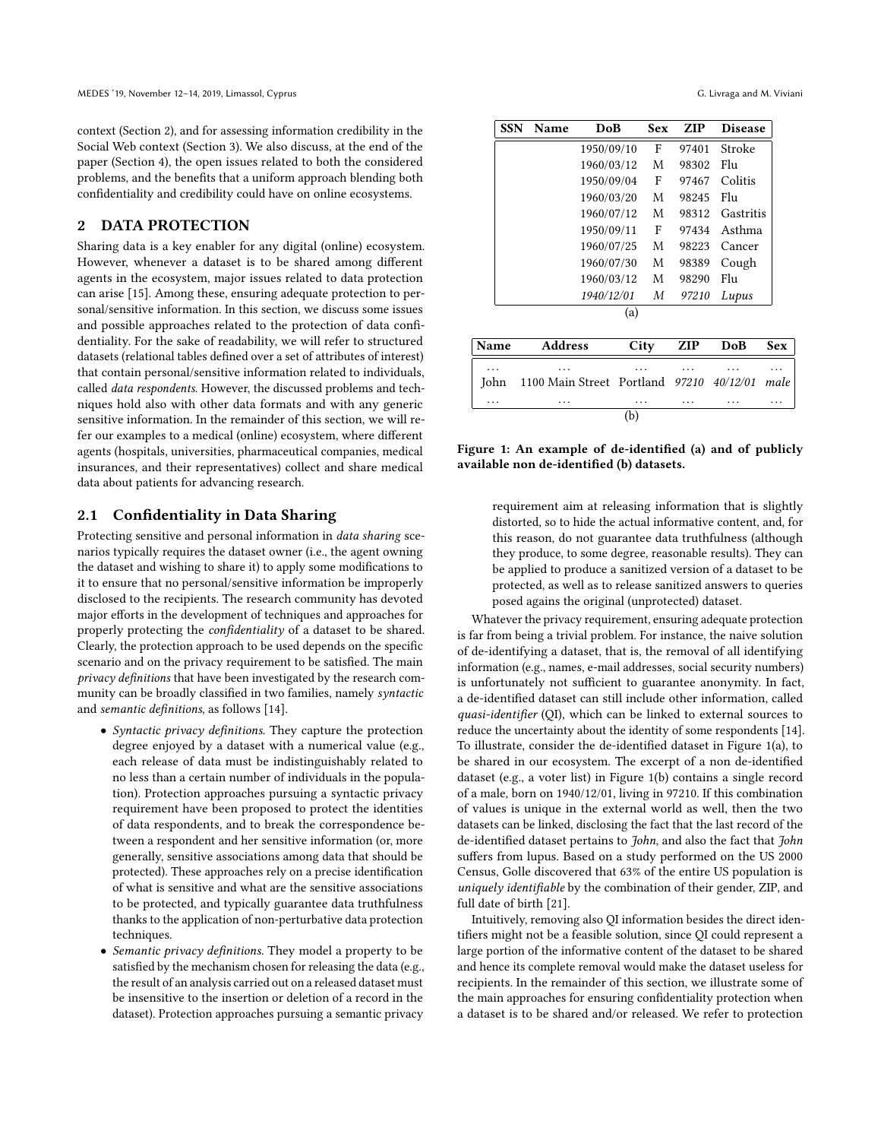context (Section [2\)](#page-1-0), and for assessing information credibility in the Social Web context (Section [3\)](#page-4-0). We also discuss, at the end of the paper (Section [4\)](#page-6-0), the open issues related to both the considered problems, and the benefits that a uniform approach blending both confidentiality and credibility could have on online ecosystems.

# <span id="page-1-0"></span>2 DATA PROTECTION

Sharing data is a key enabler for any digital (online) ecosystem. However, whenever a dataset is to be shared among different agents in the ecosystem, major issues related to data protection can arise [\[15\]](#page-7-9). Among these, ensuring adequate protection to personal/sensitive information. In this section, we discuss some issues and possible approaches related to the protection of data confidentiality. For the sake of readability, we will refer to structured datasets (relational tables defined over a set of attributes of interest) that contain personal/sensitive information related to individuals, called data respondents. However, the discussed problems and techniques hold also with other data formats and with any generic sensitive information. In the remainder of this section, we will refer our examples to a medical (online) ecosystem, where different agents (hospitals, universities, pharmaceutical companies, medical insurances, and their representatives) collect and share medical data about patients for advancing research.

## <span id="page-1-2"></span>2.1 Confidentiality in Data Sharing

Protecting sensitive and personal information in data sharing scenarios typically requires the dataset owner (i.e., the agent owning the dataset and wishing to share it) to apply some modifications to it to ensure that no personal/sensitive information be improperly disclosed to the recipients. The research community has devoted major efforts in the development of techniques and approaches for properly protecting the confidentiality of a dataset to be shared. Clearly, the protection approach to be used depends on the specific scenario and on the privacy requirement to be satisfied. The main privacy definitions that have been investigated by the research community can be broadly classified in two families, namely syntactic and semantic definitions, as follows [\[14\]](#page-7-10).

- Syntactic privacy definitions. They capture the protection degree enjoyed by a dataset with a numerical value (e.g., each release of data must be indistinguishably related to no less than a certain number of individuals in the population). Protection approaches pursuing a syntactic privacy requirement have been proposed to protect the identities of data respondents, and to break the correspondence between a respondent and her sensitive information (or, more generally, sensitive associations among data that should be protected). These approaches rely on a precise identification of what is sensitive and what are the sensitive associations to be protected, and typically guarantee data truthfulness thanks to the application of non-perturbative data protection techniques.
- Semantic privacy definitions. They model a property to be satisfied by the mechanism chosen for releasing the data (e.g., the result of an analysis carried out on a released dataset must be insensitive to the insertion or deletion of a record in the dataset). Protection approaches pursuing a semantic privacy

<span id="page-1-1"></span>

|      | <b>SSN</b><br><b>Name</b> |            | DoB  | Sex | ZIP   | <b>Disease</b> |      |
|------|---------------------------|------------|------|-----|-------|----------------|------|
|      |                           | 1950/09/10 |      | F   | 97401 | Stroke         |      |
|      |                           | 1960/03/12 |      | M   | 98302 | Flu            |      |
|      |                           | 1950/09/04 |      | F   | 97467 | Colitis        |      |
|      | 1960/03/20                |            |      | М   | 98245 | Flu            |      |
|      | 1960/07/12                |            |      | М   | 98312 | Gastritis      |      |
|      | 1950/09/11                |            |      | F   | 97434 | Asthma         |      |
|      |                           | 1960/07/25 |      | M   | 98223 | Cancer         |      |
|      |                           | 1960/07/30 |      | М   | 98389 | Cough          |      |
|      |                           | 1960/03/12 |      | М   | 98290 | Flu            |      |
|      |                           | 1940/12/01 |      | М   | 97210 | Lupus          |      |
|      |                           |            | (a)  |     |       |                |      |
| Name | <b>Address</b>            |            | City |     | ZIP   | DoB            | Sex  |
|      |                           |            |      |     |       |                |      |
| John | 1100 Main Street Portland |            |      |     | 97210 | 40/12/01       | male |
| .    | .                         |            | .    |     |       |                |      |

Figure 1: An example of de-identified (a) and of publicly available non de-identified (b) datasets.

 $\overline{(\mathbf{b})}$ 

requirement aim at releasing information that is slightly distorted, so to hide the actual informative content, and, for this reason, do not guarantee data truthfulness (although they produce, to some degree, reasonable results). They can be applied to produce a sanitized version of a dataset to be protected, as well as to release sanitized answers to queries posed agains the original (unprotected) dataset.

Whatever the privacy requirement, ensuring adequate protection is far from being a trivial problem. For instance, the naive solution of de-identifying a dataset, that is, the removal of all identifying information (e.g., names, e-mail addresses, social security numbers) is unfortunately not sufficient to guarantee anonymity. In fact, a de-identified dataset can still include other information, called quasi-identifier (QI), which can be linked to external sources to reduce the uncertainty about the identity of some respondents [\[14\]](#page-7-10). To illustrate, consider the de-identified dataset in Figure [1\(](#page-1-1)a), to be shared in our ecosystem. The excerpt of a non de-identified dataset (e.g., a voter list) in Figure [1\(](#page-1-1)b) contains a single record of a male, born on 1940/12/01, living in 97210. If this combination of values is unique in the external world as well, then the two datasets can be linked, disclosing the fact that the last record of the de-identified dataset pertains to *John*, and also the fact that *John* suffers from lupus. Based on a study performed on the US 2000 Census, Golle discovered that 63% of the entire US population is uniquely identifiable by the combination of their gender, ZIP, and full date of birth [\[21\]](#page-7-11).

Intuitively, removing also QI information besides the direct identifiers might not be a feasible solution, since QI could represent a large portion of the informative content of the dataset to be shared and hence its complete removal would make the dataset useless for recipients. In the remainder of this section, we illustrate some of the main approaches for ensuring confidentiality protection when a dataset is to be shared and/or released. We refer to protection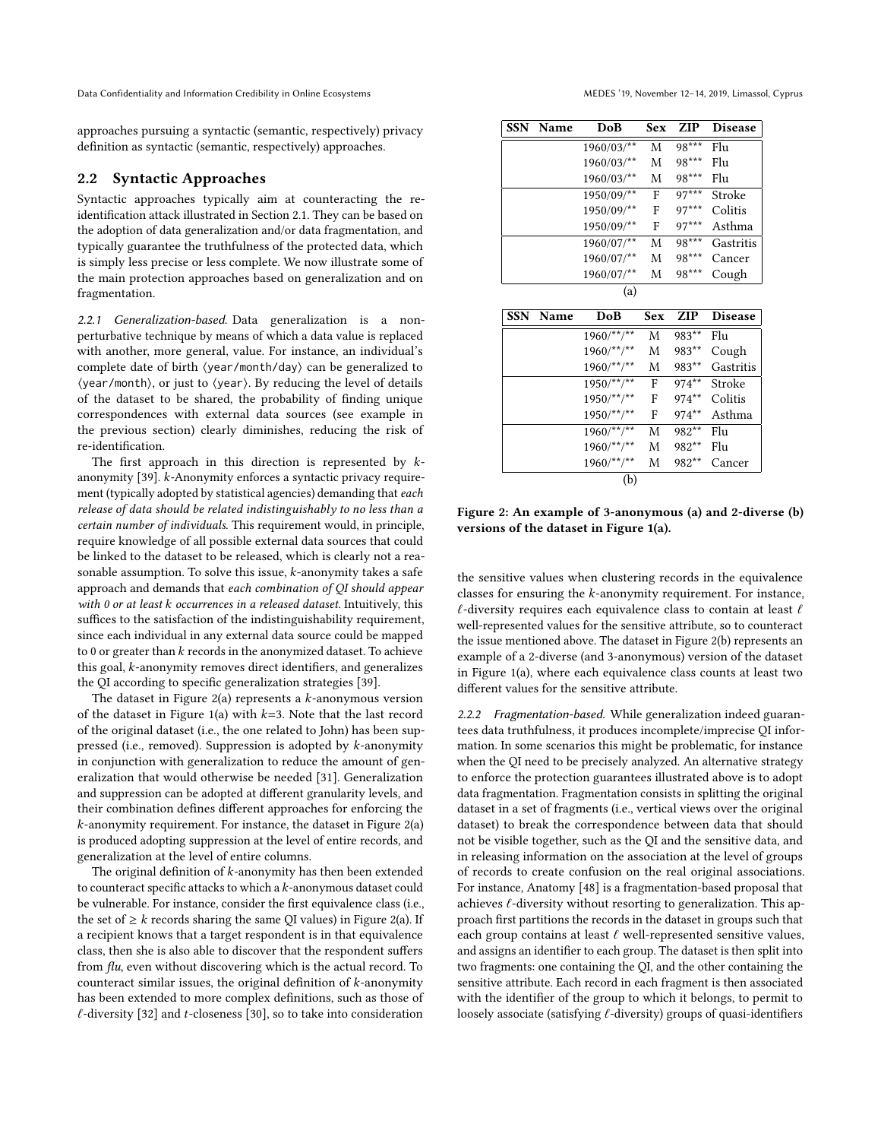Data Confidentiality and Information Credibility in Online Ecosystems MEDES '19, November 12-14, 2019, Limassol, Cyprus

approaches pursuing a syntactic (semantic, respectively) privacy definition as syntactic (semantic, respectively) approaches.

## 2.2 Syntactic Approaches

Syntactic approaches typically aim at counteracting the reidentification attack illustrated in Section [2.1.](#page-1-2) They can be based on the adoption of data generalization and/or data fragmentation, and typically guarantee the truthfulness of the protected data, which is simply less precise or less complete. We now illustrate some of the main protection approaches based on generalization and on fragmentation.

2.2.1 Generalization-based. Data generalization is a nonperturbative technique by means of which a data value is replaced with another, more general, value. For instance, an individual's complete date of birth ⟨year/month/day⟩ can be generalized to ⟨year/month⟩, or just to ⟨year⟩. By reducing the level of details of the dataset to be shared, the probability of finding unique correspondences with external data sources (see example in the previous section) clearly diminishes, reducing the risk of re-identification.

The first approach in this direction is represented by  $k$ anonymity [\[39\]](#page-7-12). k-Anonymity enforces a syntactic privacy requirement (typically adopted by statistical agencies) demanding that each release of data should be related indistinguishably to no less than a certain number of individuals. This requirement would, in principle, require knowledge of all possible external data sources that could be linked to the dataset to be released, which is clearly not a reasonable assumption. To solve this issue, k-anonymity takes a safe approach and demands that each combination of QI should appear with 0 or at least k occurrences in a released dataset. Intuitively, this suffices to the satisfaction of the indistinguishability requirement, since each individual in any external data source could be mapped to 0 or greater than  $k$  records in the anonymized dataset. To achieve this goal, k-anonymity removes direct identifiers, and generalizes the QI according to specific generalization strategies [\[39\]](#page-7-12).

The dataset in Figure [2\(](#page-2-0)a) represents a  $k$ -anonymous version of the dataset in Figure [1\(](#page-1-1)a) with  $k=3$ . Note that the last record of the original dataset (i.e., the one related to John) has been suppressed (i.e., removed). Suppression is adopted by k-anonymity in conjunction with generalization to reduce the amount of generalization that would otherwise be needed [\[31\]](#page-7-13). Generalization and suppression can be adopted at different granularity levels, and their combination defines different approaches for enforcing the  $k$ -anonymity requirement. For instance, the dataset in Figure [2\(](#page-2-0)a) is produced adopting suppression at the level of entire records, and generalization at the level of entire columns.

The original definition of  $k$ -anonymity has then been extended to counteract specific attacks to which a k-anonymous dataset could be vulnerable. For instance, consider the first equivalence class (i.e., the set of  $\geq k$  records sharing the same QI values) in Figure [2\(](#page-2-0)a). If a recipient knows that a target respondent is in that equivalence class, then she is also able to discover that the respondent suffers from flu, even without discovering which is the actual record. To counteract similar issues, the original definition of  $k$ -anonymity has been extended to more complex definitions, such as those of  $\ell$ -diversity [\[32\]](#page-7-14) and t-closeness [\[30\]](#page-7-15), so to take into consideration

<span id="page-2-0"></span>

| <b>SSN</b> | Name | DoB         | Sex | ZIP     | <b>Disease</b> |
|------------|------|-------------|-----|---------|----------------|
|            |      | $1960/03/*$ | M   | 98***   | Flu            |
|            |      | 1960/03/**  | M   | 98***   | Flu            |
|            |      | 1960/03/**  | M   | 98***   | Flu            |
|            |      | 1950/09/**  | F   | $97***$ | Stroke         |
|            |      | 1950/09/**  | F   | $97***$ | Colitis        |
|            |      | 1950/09/**  | F   | $97***$ | Asthma         |
|            |      | 1960/07/**  | M   | $98***$ | Gastritis      |
|            |      | 1960/07/**  | M   | 98***   | Cancer         |
|            |      | 1960/07/**  | M   | 98***   | Cough          |
|            |      | (a)         |     |         |                |
|            |      |             |     |         |                |

| SSN Name | DoB            | <b>Sex</b> | <b>ZIP</b> | <b>Disease</b> |
|----------|----------------|------------|------------|----------------|
|          | $1960$ /**/**  | M          | 983**      | Flu            |
|          | $1960$ /**/**  | M          | 983**      | Cough          |
|          | $1960$ /**/**  | M          | 983**      | Gastritis      |
|          | $1950/***$     | F          | $974***$   | Stroke         |
|          | $1950/**/**$   | F          | $974**$    | Colitis        |
|          | $1950/***$     | F          | $974***$   | Asthma         |
|          | $1960$ /**/**  | M          | 982**      | Flu            |
|          | $1960/***$ /** | M          | 982**      | Flu            |
|          | $1960$ /**/**  | М          | 982**      | Cancer         |
|          | (b)            |            |            |                |

Figure 2: An example of 3-anonymous (a) and 2-diverse (b) versions of the dataset in Figure [1\(](#page-1-1)a).

the sensitive values when clustering records in the equivalence classes for ensuring the k-anonymity requirement. For instance,  $\ell$ -diversity requires each equivalence class to contain at least  $\ell$ well-represented values for the sensitive attribute, so to counteract the issue mentioned above. The dataset in Figure [2\(](#page-2-0)b) represents an example of a 2-diverse (and 3-anonymous) version of the dataset in Figure [1\(](#page-1-1)a), where each equivalence class counts at least two different values for the sensitive attribute.

2.2.2 Fragmentation-based. While generalization indeed guarantees data truthfulness, it produces incomplete/imprecise QI information. In some scenarios this might be problematic, for instance when the QI need to be precisely analyzed. An alternative strategy to enforce the protection guarantees illustrated above is to adopt data fragmentation. Fragmentation consists in splitting the original dataset in a set of fragments (i.e., vertical views over the original dataset) to break the correspondence between data that should not be visible together, such as the QI and the sensitive data, and in releasing information on the association at the level of groups of records to create confusion on the real original associations. For instance, Anatomy [\[48\]](#page-7-16) is a fragmentation-based proposal that achieves  $\ell$ -diversity without resorting to generalization. This approach first partitions the records in the dataset in groups such that each group contains at least  $\ell$  well-represented sensitive values, and assigns an identifier to each group. The dataset is then split into two fragments: one containing the QI, and the other containing the sensitive attribute. Each record in each fragment is then associated with the identifier of the group to which it belongs, to permit to loosely associate (satisfying  $\ell$ -diversity) groups of quasi-identifiers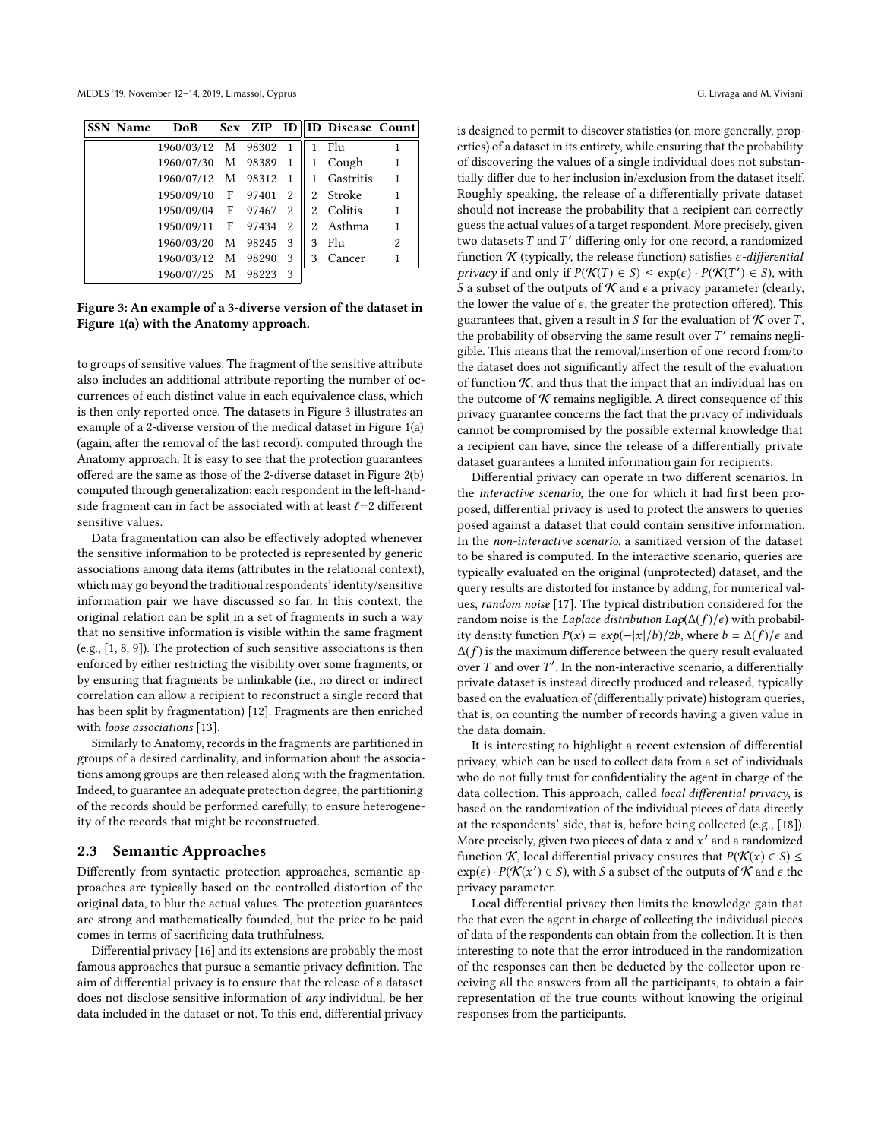MEDES '19, November 12–14, 2019, Limassol, Cyprus G. Livraga and M. Viviani

<span id="page-3-0"></span>

| <b>SSN Name</b> | DoB                  |       |                |    | Sex ZIP ID   ID Disease Count |                |
|-----------------|----------------------|-------|----------------|----|-------------------------------|----------------|
|                 | 1960/03/12 M 98302 1 |       |                |    | Flu                           |                |
|                 | 1960/07/30 M         | 98389 | -1             |    | Cough                         |                |
|                 | 1960/07/12 M         | 98312 | $\overline{1}$ |    | Gastritis                     |                |
|                 | 1950/09/10 F         | 97401 | 2              |    | 2 Stroke                      | 1              |
|                 | 1950/09/04 F 97467   |       | 2              | 2. | Colitis                       |                |
|                 | 1950/09/11 F 97434   |       | 2              | 2. | Asthma                        |                |
|                 | 1960/03/20 M 98245   |       | - 3            | 3  | Flu                           | $\overline{2}$ |
|                 | 1960/03/12 M         | 98290 | 3              | 3  | Cancer                        |                |
|                 | 1960/07/25 M         | 98223 | 3              |    |                               |                |

Figure 3: An example of a 3-diverse version of the dataset in Figure [1\(](#page-1-1)a) with the Anatomy approach.

to groups of sensitive values. The fragment of the sensitive attribute also includes an additional attribute reporting the number of occurrences of each distinct value in each equivalence class, which is then only reported once. The datasets in Figure [3](#page-3-0) illustrates an example of a 2-diverse version of the medical dataset in Figure [1\(](#page-1-1)a) (again, after the removal of the last record), computed through the Anatomy approach. It is easy to see that the protection guarantees offered are the same as those of the 2-diverse dataset in Figure [2\(](#page-2-0)b) computed through generalization: each respondent in the left-handside fragment can in fact be associated with at least  $l=2$  different sensitive values.

Data fragmentation can also be effectively adopted whenever the sensitive information to be protected is represented by generic associations among data items (attributes in the relational context), which may go beyond the traditional respondents' identity/sensitive information pair we have discussed so far. In this context, the original relation can be split in a set of fragments in such a way that no sensitive information is visible within the same fragment (e.g., [\[1,](#page-7-17) [8,](#page-7-18) [9\]](#page-7-19)). The protection of such sensitive associations is then enforced by either restricting the visibility over some fragments, or by ensuring that fragments be unlinkable (i.e., no direct or indirect correlation can allow a recipient to reconstruct a single record that has been split by fragmentation) [\[12\]](#page-7-20). Fragments are then enriched with loose associations [\[13\]](#page-7-21).

Similarly to Anatomy, records in the fragments are partitioned in groups of a desired cardinality, and information about the associations among groups are then released along with the fragmentation. Indeed, to guarantee an adequate protection degree, the partitioning of the records should be performed carefully, to ensure heterogeneity of the records that might be reconstructed.

#### 2.3 Semantic Approaches

Differently from syntactic protection approaches, semantic approaches are typically based on the controlled distortion of the original data, to blur the actual values. The protection guarantees are strong and mathematically founded, but the price to be paid comes in terms of sacrificing data truthfulness.

Differential privacy [\[16\]](#page-7-22) and its extensions are probably the most famous approaches that pursue a semantic privacy definition. The aim of differential privacy is to ensure that the release of a dataset does not disclose sensitive information of any individual, be her data included in the dataset or not. To this end, differential privacy is designed to permit to discover statistics (or, more generally, properties) of a dataset in its entirety, while ensuring that the probability of discovering the values of a single individual does not substantially differ due to her inclusion in/exclusion from the dataset itself. Roughly speaking, the release of a differentially private dataset should not increase the probability that a recipient can correctly guess the actual values of a target respondent. More precisely, given two datasets T and T' differing only for one record, a randomized<br>function K (typically, the release function) satisfies *c-differential* function  $K$  (typically, the release function) satisfies  $\epsilon$ -differential privacy if and only if  $P(\mathcal{K}(T) \in S) \leq \exp(\epsilon) \cdot P(\mathcal{K}(T') \in S)$ , with  $S \in S$  explored to the outputs of  $\mathcal{K}$  and  $\epsilon$  a privacy parameter (clearly S a subset of the outputs of  $\mathcal K$  and  $\epsilon$  a privacy parameter (clearly, the lower the value of  $\epsilon$ , the greater the protection offered). This guarantees that, given a result in S for the evaluation of  $K$  over T, the probability of observing the same result over  $T'$  remains negli-<br>sible. This means that the removal/insertion of one record from/to gible. This means that the removal/insertion of one record from/to the dataset does not significantly affect the result of the evaluation of function  $K$ , and thus that the impact that an individual has on the outcome of  $K$  remains negligible. A direct consequence of this privacy guarantee concerns the fact that the privacy of individuals cannot be compromised by the possible external knowledge that a recipient can have, since the release of a differentially private dataset guarantees a limited information gain for recipients.

Differential privacy can operate in two different scenarios. In the interactive scenario, the one for which it had first been proposed, differential privacy is used to protect the answers to queries posed against a dataset that could contain sensitive information. In the non-interactive scenario, a sanitized version of the dataset to be shared is computed. In the interactive scenario, queries are typically evaluated on the original (unprotected) dataset, and the query results are distorted for instance by adding, for numerical values, random noise [\[17\]](#page-7-23). The typical distribution considered for the random noise is the *Laplace distribution Lap*( $\Delta(f)/\epsilon$ ) with probability density function  $P(x) = exp(-|x|/b)/2b$ , where  $b = \Delta(f)/\epsilon$  and  $\Delta(f)$  is the maximum difference between the query result evaluated over T and over T'. In the non-interactive scenario, a differentially<br>private dataset is instead directly produced and released, typically private dataset is instead directly produced and released, typically based on the evaluation of (differentially private) histogram queries, that is, on counting the number of records having a given value in the data domain.

It is interesting to highlight a recent extension of differential privacy, which can be used to collect data from a set of individuals who do not fully trust for confidentiality the agent in charge of the data collection. This approach, called *local differential privacy*, is based on the randomization of the individual pieces of data directly at the respondents' side, that is, before being collected (e.g., [\[18\]](#page-7-24)). More precisely, given two pieces of data x and x' and a randomized<br>function  $K$  local differential privacy ensures that  $P(K(x) \in S)$ function K, local differential privacy ensures that  $P(K(x) \in S) \le$  $\exp(\epsilon) \cdot P(\mathcal{K}(x') \in S)$ , with S a subset of the outputs of  $\mathcal K$  and  $\epsilon$  the privacy parameter privacy parameter.

Local differential privacy then limits the knowledge gain that the that even the agent in charge of collecting the individual pieces of data of the respondents can obtain from the collection. It is then interesting to note that the error introduced in the randomization of the responses can then be deducted by the collector upon receiving all the answers from all the participants, to obtain a fair representation of the true counts without knowing the original responses from the participants.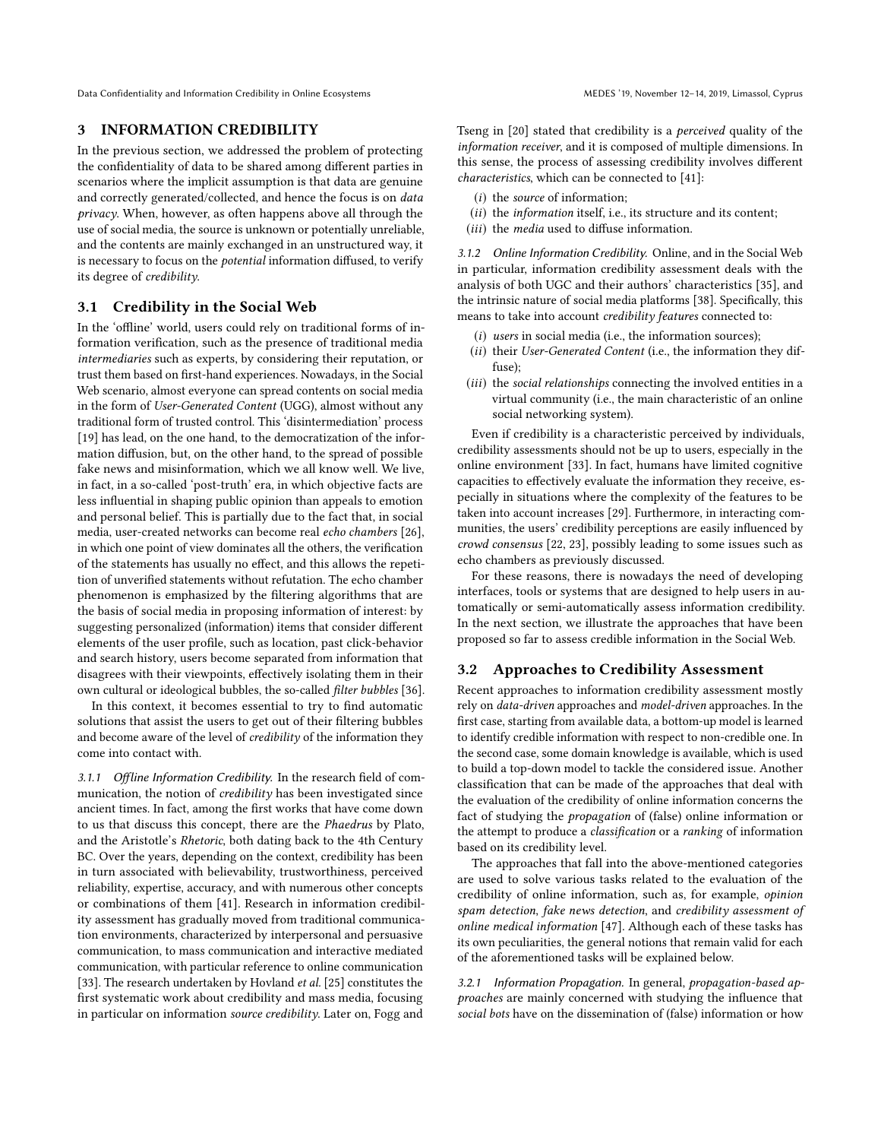Data Confidentiality and Information Credibility in Online Ecosystems MEDES '19, November 12-14, 2019, Limassol, Cyprus

## <span id="page-4-0"></span>3 INFORMATION CREDIBILITY

In the previous section, we addressed the problem of protecting the confidentiality of data to be shared among different parties in scenarios where the implicit assumption is that data are genuine and correctly generated/collected, and hence the focus is on data privacy. When, however, as often happens above all through the use of social media, the source is unknown or potentially unreliable, and the contents are mainly exchanged in an unstructured way, it is necessary to focus on the potential information diffused, to verify its degree of credibility.

#### <span id="page-4-1"></span>3.1 Credibility in the Social Web

In the 'offline' world, users could rely on traditional forms of information verification, such as the presence of traditional media intermediaries such as experts, by considering their reputation, or trust them based on first-hand experiences. Nowadays, in the Social Web scenario, almost everyone can spread contents on social media in the form of User-Generated Content (UGG), almost without any traditional form of trusted control. This 'disintermediation' process [\[19\]](#page-7-25) has lead, on the one hand, to the democratization of the information diffusion, but, on the other hand, to the spread of possible fake news and misinformation, which we all know well. We live, in fact, in a so-called 'post-truth' era, in which objective facts are less influential in shaping public opinion than appeals to emotion and personal belief. This is partially due to the fact that, in social media, user-created networks can become real echo chambers [\[26\]](#page-7-26), in which one point of view dominates all the others, the verification of the statements has usually no effect, and this allows the repetition of unverified statements without refutation. The echo chamber phenomenon is emphasized by the filtering algorithms that are the basis of social media in proposing information of interest: by suggesting personalized (information) items that consider different elements of the user profile, such as location, past click-behavior and search history, users become separated from information that disagrees with their viewpoints, effectively isolating them in their own cultural or ideological bubbles, the so-called filter bubbles [\[36\]](#page-7-27).

In this context, it becomes essential to try to find automatic solutions that assist the users to get out of their filtering bubbles and become aware of the level of credibility of the information they come into contact with.

3.1.1 Offline Information Credibility. In the research field of communication, the notion of *credibility* has been investigated since ancient times. In fact, among the first works that have come down to us that discuss this concept, there are the Phaedrus by Plato, and the Aristotle's Rhetoric, both dating back to the 4th Century BC. Over the years, depending on the context, credibility has been in turn associated with believability, trustworthiness, perceived reliability, expertise, accuracy, and with numerous other concepts or combinations of them [\[41\]](#page-7-7). Research in information credibility assessment has gradually moved from traditional communication environments, characterized by interpersonal and persuasive communication, to mass communication and interactive mediated communication, with particular reference to online communication [\[33\]](#page-7-28). The research undertaken by Hovland et al. [\[25\]](#page-7-29) constitutes the first systematic work about credibility and mass media, focusing in particular on information source credibility. Later on, Fogg and

Tseng in [\[20\]](#page-7-30) stated that credibility is a perceived quality of the information receiver, and it is composed of multiple dimensions. In this sense, the process of assessing credibility involves different characteristics, which can be connected to [\[41\]](#page-7-7):

- (i) the source of information;
- (ii) the information itself, i.e., its structure and its content;
- (iii) the media used to diffuse information.

3.1.2 Online Information Credibility. Online, and in the Social Web in particular, information credibility assessment deals with the analysis of both UGC and their authors' characteristics [\[35\]](#page-7-31), and the intrinsic nature of social media platforms [\[38\]](#page-7-32). Specifically, this means to take into account credibility features connected to:

- $(i)$  users in social media (i.e., the information sources);
- (ii) their User-Generated Content (i.e., the information they diffuse);
- (iii) the social relationships connecting the involved entities in a virtual community (i.e., the main characteristic of an online social networking system).

Even if credibility is a characteristic perceived by individuals, credibility assessments should not be up to users, especially in the online environment [\[33\]](#page-7-28). In fact, humans have limited cognitive capacities to effectively evaluate the information they receive, especially in situations where the complexity of the features to be taken into account increases [\[29\]](#page-7-33). Furthermore, in interacting communities, the users' credibility perceptions are easily influenced by crowd consensus [\[22,](#page-7-34) [23\]](#page-7-35), possibly leading to some issues such as echo chambers as previously discussed.

For these reasons, there is nowadays the need of developing interfaces, tools or systems that are designed to help users in automatically or semi-automatically assess information credibility. In the next section, we illustrate the approaches that have been proposed so far to assess credible information in the Social Web.

## 3.2 Approaches to Credibility Assessment

Recent approaches to information credibility assessment mostly rely on data-driven approaches and model-driven approaches. In the first case, starting from available data, a bottom-up model is learned to identify credible information with respect to non-credible one. In the second case, some domain knowledge is available, which is used to build a top-down model to tackle the considered issue. Another classification that can be made of the approaches that deal with the evaluation of the credibility of online information concerns the fact of studying the propagation of (false) online information or the attempt to produce a classification or a ranking of information based on its credibility level.

The approaches that fall into the above-mentioned categories are used to solve various tasks related to the evaluation of the credibility of online information, such as, for example, opinion spam detection, fake news detection, and credibility assessment of online medical information [\[47\]](#page-7-8). Although each of these tasks has its own peculiarities, the general notions that remain valid for each of the aforementioned tasks will be explained below.

3.2.1 Information Propagation. In general, propagation-based approaches are mainly concerned with studying the influence that social bots have on the dissemination of (false) information or how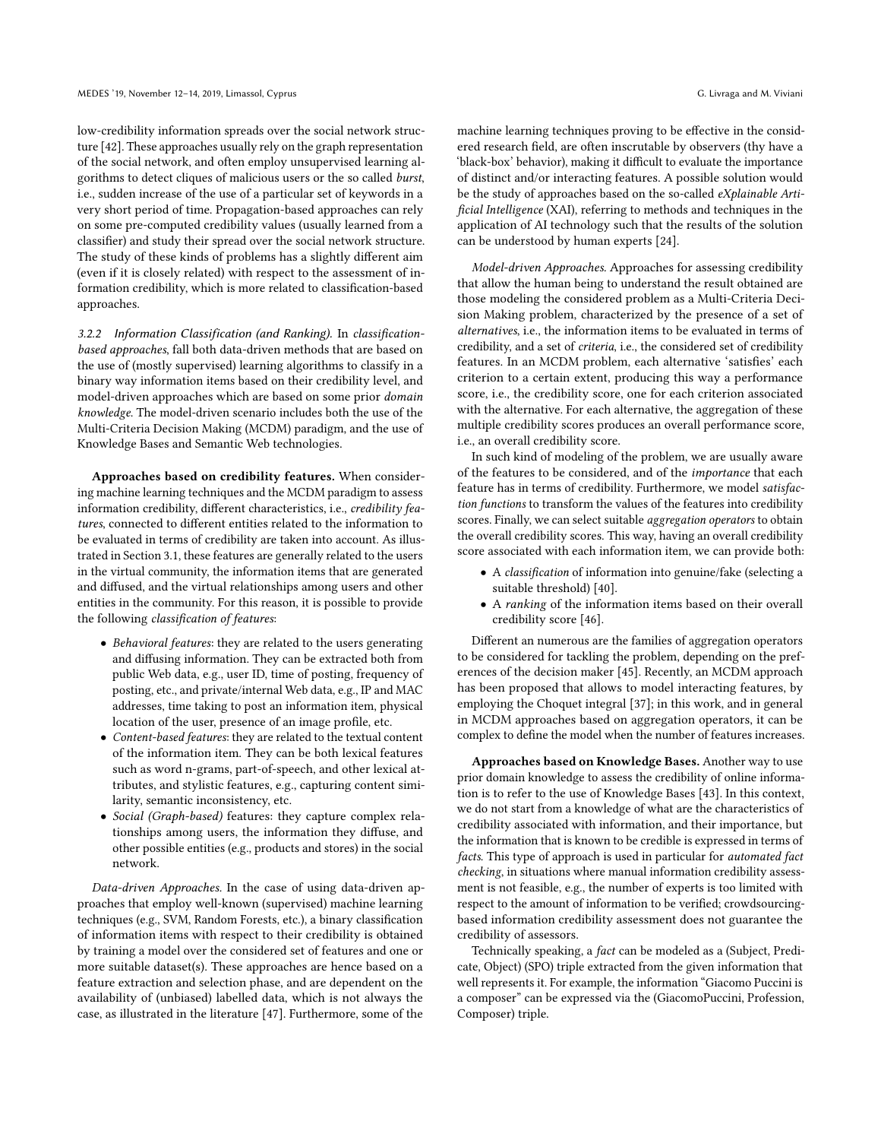low-credibility information spreads over the social network structure [\[42\]](#page-7-36). These approaches usually rely on the graph representation of the social network, and often employ unsupervised learning algorithms to detect cliques of malicious users or the so called burst, i.e., sudden increase of the use of a particular set of keywords in a very short period of time. Propagation-based approaches can rely on some pre-computed credibility values (usually learned from a classifier) and study their spread over the social network structure. The study of these kinds of problems has a slightly different aim (even if it is closely related) with respect to the assessment of information credibility, which is more related to classification-based approaches.

3.2.2 Information Classification (and Ranking). In classificationbased approaches, fall both data-driven methods that are based on the use of (mostly supervised) learning algorithms to classify in a binary way information items based on their credibility level, and model-driven approaches which are based on some prior domain knowledge. The model-driven scenario includes both the use of the Multi-Criteria Decision Making (MCDM) paradigm, and the use of Knowledge Bases and Semantic Web technologies.

Approaches based on credibility features. When considering machine learning techniques and the MCDM paradigm to assess information credibility, different characteristics, i.e., credibility features, connected to different entities related to the information to be evaluated in terms of credibility are taken into account. As illustrated in Section [3.1,](#page-4-1) these features are generally related to the users in the virtual community, the information items that are generated and diffused, and the virtual relationships among users and other entities in the community. For this reason, it is possible to provide the following classification of features:

- Behavioral features: they are related to the users generating and diffusing information. They can be extracted both from public Web data, e.g., user ID, time of posting, frequency of posting, etc., and private/internal Web data, e.g., IP and MAC addresses, time taking to post an information item, physical location of the user, presence of an image profile, etc.
- Content-based features: they are related to the textual content of the information item. They can be both lexical features such as word n-grams, part-of-speech, and other lexical attributes, and stylistic features, e.g., capturing content similarity, semantic inconsistency, etc.
- Social (Graph-based) features: they capture complex relationships among users, the information they diffuse, and other possible entities (e.g., products and stores) in the social network.

Data-driven Approaches. In the case of using data-driven approaches that employ well-known (supervised) machine learning techniques (e.g., SVM, Random Forests, etc.), a binary classification of information items with respect to their credibility is obtained by training a model over the considered set of features and one or more suitable dataset(s). These approaches are hence based on a feature extraction and selection phase, and are dependent on the availability of (unbiased) labelled data, which is not always the case, as illustrated in the literature [\[47\]](#page-7-8). Furthermore, some of the

machine learning techniques proving to be effective in the considered research field, are often inscrutable by observers (thy have a 'black-box' behavior), making it difficult to evaluate the importance of distinct and/or interacting features. A possible solution would be the study of approaches based on the so-called eXplainable Artificial Intelligence (XAI), referring to methods and techniques in the application of AI technology such that the results of the solution can be understood by human experts [\[24\]](#page-7-37).

Model-driven Approaches. Approaches for assessing credibility that allow the human being to understand the result obtained are those modeling the considered problem as a Multi-Criteria Decision Making problem, characterized by the presence of a set of alternatives, i.e., the information items to be evaluated in terms of credibility, and a set of criteria, i.e., the considered set of credibility features. In an MCDM problem, each alternative 'satisfies' each criterion to a certain extent, producing this way a performance score, i.e., the credibility score, one for each criterion associated with the alternative. For each alternative, the aggregation of these multiple credibility scores produces an overall performance score, i.e., an overall credibility score.

In such kind of modeling of the problem, we are usually aware of the features to be considered, and of the importance that each feature has in terms of credibility. Furthermore, we model satisfaction functions to transform the values of the features into credibility scores. Finally, we can select suitable aggregation operators to obtain the overall credibility scores. This way, having an overall credibility score associated with each information item, we can provide both:

- A classification of information into genuine/fake (selecting a suitable threshold) [\[40\]](#page-7-38).
- A ranking of the information items based on their overall credibility score [\[46\]](#page-7-39).

Different an numerous are the families of aggregation operators to be considered for tackling the problem, depending on the preferences of the decision maker [\[45\]](#page-7-40). Recently, an MCDM approach has been proposed that allows to model interacting features, by employing the Choquet integral [\[37\]](#page-7-41); in this work, and in general in MCDM approaches based on aggregation operators, it can be complex to define the model when the number of features increases.

Approaches based on Knowledge Bases. Another way to use prior domain knowledge to assess the credibility of online information is to refer to the use of Knowledge Bases [\[43\]](#page-7-42). In this context, we do not start from a knowledge of what are the characteristics of credibility associated with information, and their importance, but the information that is known to be credible is expressed in terms of facts. This type of approach is used in particular for automated fact checking, in situations where manual information credibility assessment is not feasible, e.g., the number of experts is too limited with respect to the amount of information to be verified; crowdsourcingbased information credibility assessment does not guarantee the credibility of assessors.

Technically speaking, a *fact* can be modeled as a (Subject, Predicate, Object) (SPO) triple extracted from the given information that well represents it. For example, the information "Giacomo Puccini is a composer" can be expressed via the (GiacomoPuccini, Profession, Composer) triple.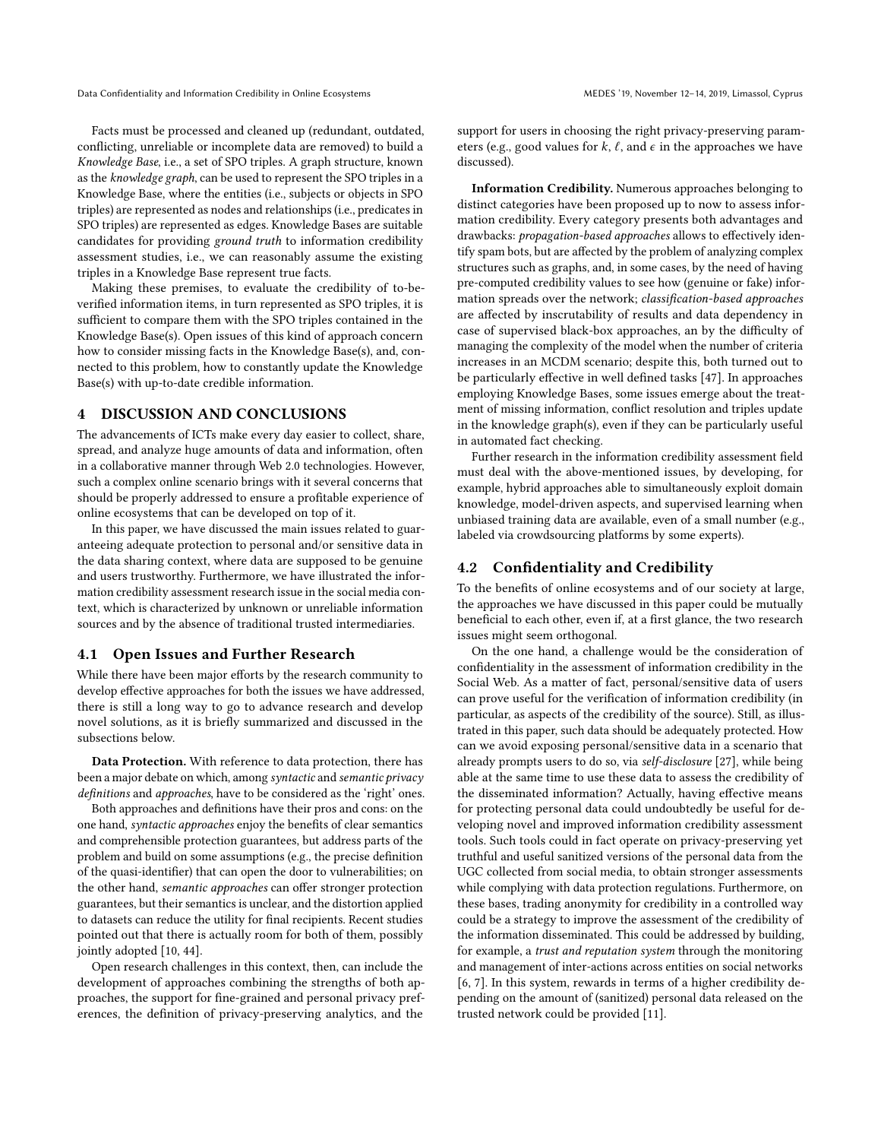Data Confidentiality and Information Credibility in Online Ecosystems MEDES '19, November 12-14, 2019, Limassol, Cyprus

Facts must be processed and cleaned up (redundant, outdated, conflicting, unreliable or incomplete data are removed) to build a Knowledge Base, i.e., a set of SPO triples. A graph structure, known as the knowledge graph, can be used to represent the SPO triples in a Knowledge Base, where the entities (i.e., subjects or objects in SPO triples) are represented as nodes and relationships (i.e., predicates in SPO triples) are represented as edges. Knowledge Bases are suitable candidates for providing ground truth to information credibility assessment studies, i.e., we can reasonably assume the existing triples in a Knowledge Base represent true facts.

Making these premises, to evaluate the credibility of to-beverified information items, in turn represented as SPO triples, it is sufficient to compare them with the SPO triples contained in the Knowledge Base(s). Open issues of this kind of approach concern how to consider missing facts in the Knowledge Base(s), and, connected to this problem, how to constantly update the Knowledge Base(s) with up-to-date credible information.

#### <span id="page-6-0"></span>4 DISCUSSION AND CONCLUSIONS

The advancements of ICTs make every day easier to collect, share, spread, and analyze huge amounts of data and information, often in a collaborative manner through Web 2.0 technologies. However, such a complex online scenario brings with it several concerns that should be properly addressed to ensure a profitable experience of online ecosystems that can be developed on top of it.

In this paper, we have discussed the main issues related to guaranteeing adequate protection to personal and/or sensitive data in the data sharing context, where data are supposed to be genuine and users trustworthy. Furthermore, we have illustrated the information credibility assessment research issue in the social media context, which is characterized by unknown or unreliable information sources and by the absence of traditional trusted intermediaries.

## 4.1 Open Issues and Further Research

While there have been major efforts by the research community to develop effective approaches for both the issues we have addressed, there is still a long way to go to advance research and develop novel solutions, as it is briefly summarized and discussed in the subsections below.

Data Protection. With reference to data protection, there has been a major debate on which, among syntactic and semantic privacy definitions and approaches, have to be considered as the 'right' ones.

Both approaches and definitions have their pros and cons: on the one hand, syntactic approaches enjoy the benefits of clear semantics and comprehensible protection guarantees, but address parts of the problem and build on some assumptions (e.g., the precise definition of the quasi-identifier) that can open the door to vulnerabilities; on the other hand, semantic approaches can offer stronger protection guarantees, but their semantics is unclear, and the distortion applied to datasets can reduce the utility for final recipients. Recent studies pointed out that there is actually room for both of them, possibly jointly adopted [\[10,](#page-7-43) [44\]](#page-7-44).

Open research challenges in this context, then, can include the development of approaches combining the strengths of both approaches, the support for fine-grained and personal privacy preferences, the definition of privacy-preserving analytics, and the

support for users in choosing the right privacy-preserving parameters (e.g., good values for k,  $\ell$ , and  $\epsilon$  in the approaches we have discussed).

Information Credibility. Numerous approaches belonging to distinct categories have been proposed up to now to assess information credibility. Every category presents both advantages and drawbacks: propagation-based approaches allows to effectively identify spam bots, but are affected by the problem of analyzing complex structures such as graphs, and, in some cases, by the need of having pre-computed credibility values to see how (genuine or fake) information spreads over the network; classification-based approaches are affected by inscrutability of results and data dependency in case of supervised black-box approaches, an by the difficulty of managing the complexity of the model when the number of criteria increases in an MCDM scenario; despite this, both turned out to be particularly effective in well defined tasks [\[47\]](#page-7-8). In approaches employing Knowledge Bases, some issues emerge about the treatment of missing information, conflict resolution and triples update in the knowledge graph(s), even if they can be particularly useful in automated fact checking.

Further research in the information credibility assessment field must deal with the above-mentioned issues, by developing, for example, hybrid approaches able to simultaneously exploit domain knowledge, model-driven aspects, and supervised learning when unbiased training data are available, even of a small number (e.g., labeled via crowdsourcing platforms by some experts).

## 4.2 Confidentiality and Credibility

To the benefits of online ecosystems and of our society at large, the approaches we have discussed in this paper could be mutually beneficial to each other, even if, at a first glance, the two research issues might seem orthogonal.

On the one hand, a challenge would be the consideration of confidentiality in the assessment of information credibility in the Social Web. As a matter of fact, personal/sensitive data of users can prove useful for the verification of information credibility (in particular, as aspects of the credibility of the source). Still, as illustrated in this paper, such data should be adequately protected. How can we avoid exposing personal/sensitive data in a scenario that already prompts users to do so, via self-disclosure [\[27\]](#page-7-45), while being able at the same time to use these data to assess the credibility of the disseminated information? Actually, having effective means for protecting personal data could undoubtedly be useful for developing novel and improved information credibility assessment tools. Such tools could in fact operate on privacy-preserving yet truthful and useful sanitized versions of the personal data from the UGC collected from social media, to obtain stronger assessments while complying with data protection regulations. Furthermore, on these bases, trading anonymity for credibility in a controlled way could be a strategy to improve the assessment of the credibility of the information disseminated. This could be addressed by building, for example, a trust and reputation system through the monitoring and management of inter-actions across entities on social networks [\[6,](#page-7-5) [7\]](#page-7-46). In this system, rewards in terms of a higher credibility depending on the amount of (sanitized) personal data released on the trusted network could be provided [\[11\]](#page-7-47).